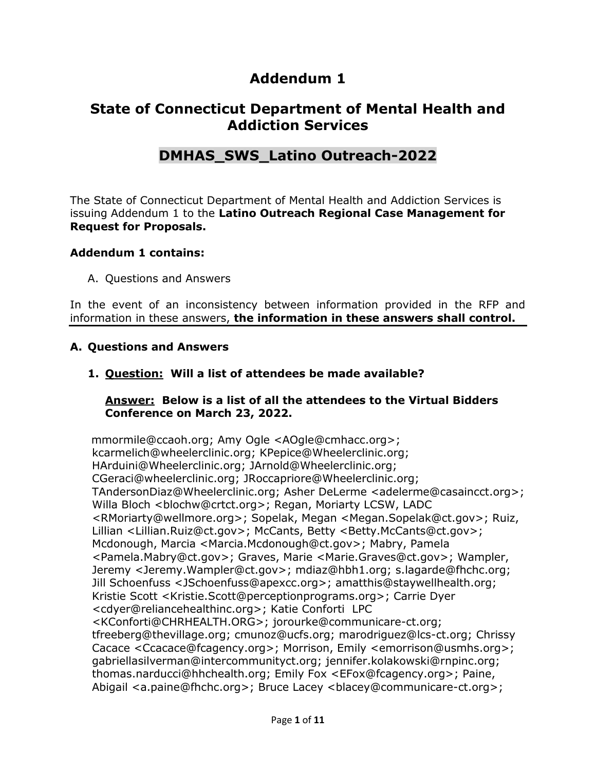# **Addendum 1**

# **State of Connecticut Department of Mental Health and Addiction Services**

# **DMHAS\_SWS\_Latino Outreach-2022**

The State of Connecticut Department of Mental Health and Addiction Services is issuing Addendum 1 to the **Latino Outreach Regional Case Management for Request for Proposals.**

#### **Addendum 1 contains:**

A. Questions and Answers

In the event of an inconsistency between information provided in the RFP and information in these answers, **the information in these answers shall control.**

#### **A. Questions and Answers**

**1. Question: Will a list of attendees be made available?**

#### **Answer: Below is a list of all the attendees to the Virtual Bidders Conference on March 23, 2022.**

mmormile@ccaoh.org; Amy Ogle <AOgle@cmhacc.org>; kcarmelich@wheelerclinic.org; KPepice@Wheelerclinic.org; HArduini@Wheelerclinic.org; JArnold@Wheelerclinic.org; CGeraci@wheelerclinic.org; JRoccapriore@Wheelerclinic.org; TAndersonDiaz@Wheelerclinic.org; Asher DeLerme <adelerme@casaincct.org>; Willa Bloch <br/>blochw@crtct.org>; Regan, Moriarty LCSW, LADC <RMoriarty@wellmore.org>; Sopelak, Megan <Megan.Sopelak@ct.gov>; Ruiz, Lillian <Lillian.Ruiz@ct.gov>; McCants, Betty <Betty.McCants@ct.gov>; Mcdonough, Marcia <Marcia.Mcdonough@ct.gov>; Mabry, Pamela <Pamela.Mabry@ct.gov>; Graves, Marie <Marie.Graves@ct.gov>; Wampler, Jeremy <Jeremy.Wampler@ct.gov>; mdiaz@hbh1.org; s.lagarde@fhchc.org; Jill Schoenfuss <JSchoenfuss@apexcc.org>; amatthis@staywellhealth.org; Kristie Scott <Kristie.Scott@perceptionprograms.org>; Carrie Dyer <cdyer@reliancehealthinc.org>; Katie Conforti LPC <KConforti@CHRHEALTH.ORG>; jorourke@communicare-ct.org; tfreeberg@thevillage.org; cmunoz@ucfs.org; marodriguez@lcs-ct.org; Chrissy Cacace <Ccacace@fcagency.org>; Morrison, Emily <emorrison@usmhs.org>; gabriellasilverman@intercommunityct.org; jennifer.kolakowski@rnpinc.org; thomas.narducci@hhchealth.org; Emily Fox <EFox@fcagency.org>; Paine, Abigail <a.paine@fhchc.org>; Bruce Lacey <br/>>blacey@communicare-ct.org>;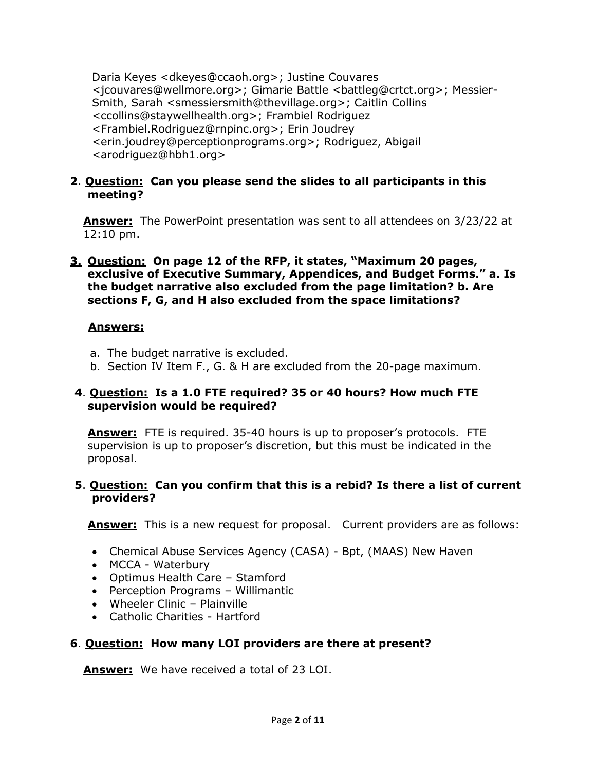Daria Keyes <dkeyes@ccaoh.org>; Justine Couvares <jcouvares@wellmore.org>; Gimarie Battle <battleg@crtct.org>; Messier-Smith, Sarah <smessiersmith@thevillage.org>; Caitlin Collins <ccollins@staywellhealth.org>; Frambiel Rodriguez <Frambiel.Rodriguez@rnpinc.org>; Erin Joudrey <erin.joudrey@perceptionprograms.org>; Rodriguez, Abigail <arodriguez@hbh1.org>

# **2**. **Question: Can you please send the slides to all participants in this meeting?**

**Answer:** The PowerPoint presentation was sent to all attendees on 3/23/22 at 12:10 pm.

**3. Question: On page 12 of the RFP, it states, "Maximum 20 pages, exclusive of Executive Summary, Appendices, and Budget Forms." a. Is the budget narrative also excluded from the page limitation? b. Are sections F, G, and H also excluded from the space limitations?**

# **Answers:**

- a. The budget narrative is excluded.
- b. Section IV Item F., G. & H are excluded from the 20-page maximum.

# **4**. **Question: Is a 1.0 FTE required? 35 or 40 hours? How much FTE supervision would be required?**

**Answer:** FTE is required. 35-40 hours is up to proposer's protocols. FTE supervision is up to proposer's discretion, but this must be indicated in the proposal.

# **5**. **Question: Can you confirm that this is a rebid? Is there a list of current providers?**

**Answer:** This is a new request for proposal. Current providers are as follows:

- Chemical Abuse Services Agency (CASA) Bpt, (MAAS) New Haven
- MCCA Waterbury
- Optimus Health Care Stamford
- Perception Programs Willimantic
- Wheeler Clinic Plainville
- Catholic Charities Hartford

# **6**. **Question: How many LOI providers are there at present?**

**Answer:** We have received a total of 23 LOI.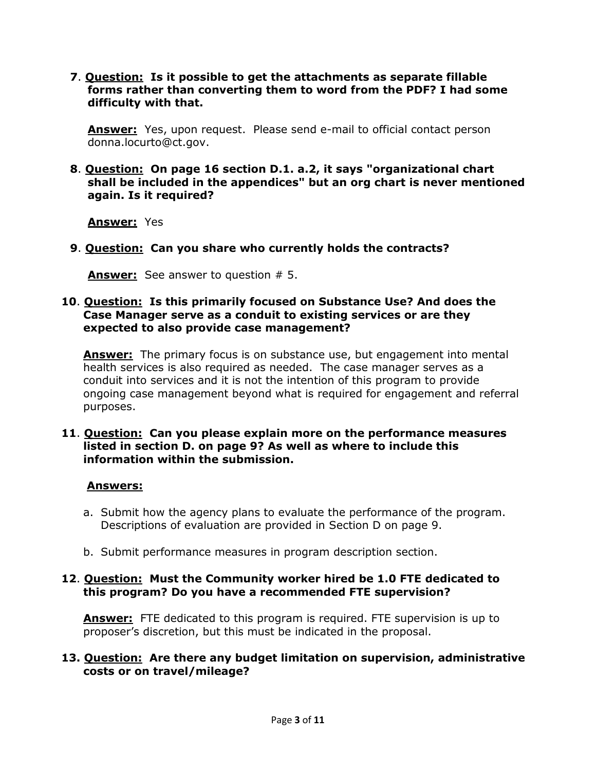**7**. **Question: Is it possible to get the attachments as separate fillable forms rather than converting them to word from the PDF? I had some difficulty with that.**

**Answer:** Yes, upon request. Please send e-mail to official contact person donna.locurto@ct.gov.

**8**. **Question: On page 16 section D.1. a.2, it says "organizational chart shall be included in the appendices" but an org chart is never mentioned again. Is it required?**

**Answer:** Yes

**9**. **Question: Can you share who currently holds the contracts?**

**Answer:** See answer to question # 5.

#### **10**. **Question: Is this primarily focused on Substance Use? And does the Case Manager serve as a conduit to existing services or are they expected to also provide case management?**

**Answer:** The primary focus is on substance use, but engagement into mental health services is also required as needed. The case manager serves as a conduit into services and it is not the intention of this program to provide ongoing case management beyond what is required for engagement and referral purposes.

#### **11**. **Question: Can you please explain more on the performance measures listed in section D. on page 9? As well as where to include this information within the submission.**

#### **Answers:**

- a. Submit how the agency plans to evaluate the performance of the program. Descriptions of evaluation are provided in Section D on page 9.
- b. Submit performance measures in program description section.

#### **12**. **Question: Must the Community worker hired be 1.0 FTE dedicated to this program? Do you have a recommended FTE supervision?**

**Answer:** FTE dedicated to this program is required. FTE supervision is up to proposer's discretion, but this must be indicated in the proposal.

#### **13. Question: Are there any budget limitation on supervision, administrative costs or on travel/mileage?**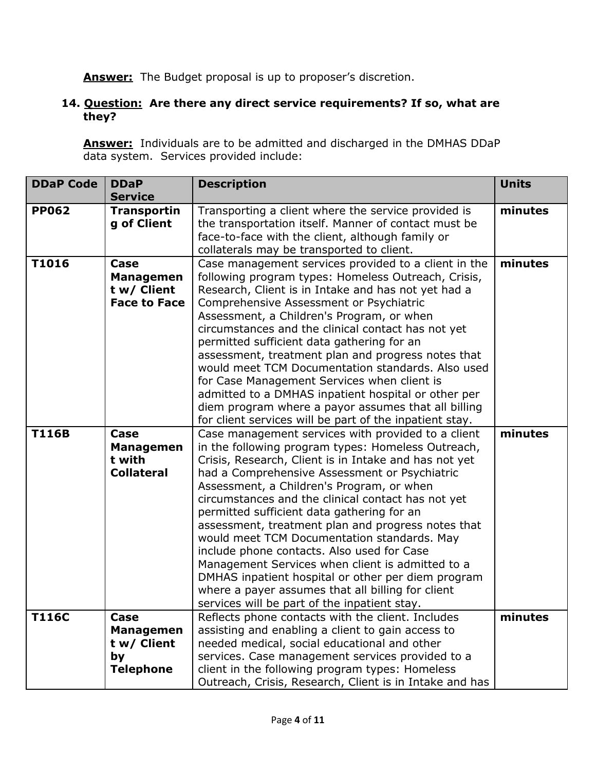**Answer:** The Budget proposal is up to proposer's discretion.

# **14. Question: Are there any direct service requirements? If so, what are they?**

**Answer:** Individuals are to be admitted and discharged in the DMHAS DDaP data system. Services provided include:

| <b>DDaP Code</b> | <b>DDaP</b><br><b>Service</b>                                     | <b>Description</b>                                                                                                                                                                                                                                                                                                                                                                                                                                                                                                                                                                                                                                                                                                                    | <b>Units</b> |
|------------------|-------------------------------------------------------------------|---------------------------------------------------------------------------------------------------------------------------------------------------------------------------------------------------------------------------------------------------------------------------------------------------------------------------------------------------------------------------------------------------------------------------------------------------------------------------------------------------------------------------------------------------------------------------------------------------------------------------------------------------------------------------------------------------------------------------------------|--------------|
| <b>PP062</b>     | <b>Transportin</b><br>g of Client                                 | Transporting a client where the service provided is<br>the transportation itself. Manner of contact must be<br>face-to-face with the client, although family or<br>collaterals may be transported to client.                                                                                                                                                                                                                                                                                                                                                                                                                                                                                                                          | minutes      |
| T1016            | Case<br><b>Managemen</b><br>t w/ Client<br><b>Face to Face</b>    | Case management services provided to a client in the<br>following program types: Homeless Outreach, Crisis,<br>Research, Client is in Intake and has not yet had a<br>Comprehensive Assessment or Psychiatric<br>Assessment, a Children's Program, or when<br>circumstances and the clinical contact has not yet<br>permitted sufficient data gathering for an<br>assessment, treatment plan and progress notes that<br>would meet TCM Documentation standards. Also used<br>for Case Management Services when client is<br>admitted to a DMHAS inpatient hospital or other per<br>diem program where a payor assumes that all billing<br>for client services will be part of the inpatient stay.                                     | minutes      |
| <b>T116B</b>     | Case<br><b>Managemen</b><br>t with<br><b>Collateral</b>           | Case management services with provided to a client<br>in the following program types: Homeless Outreach,<br>Crisis, Research, Client is in Intake and has not yet<br>had a Comprehensive Assessment or Psychiatric<br>Assessment, a Children's Program, or when<br>circumstances and the clinical contact has not yet<br>permitted sufficient data gathering for an<br>assessment, treatment plan and progress notes that<br>would meet TCM Documentation standards. May<br>include phone contacts. Also used for Case<br>Management Services when client is admitted to a<br>DMHAS inpatient hospital or other per diem program<br>where a payer assumes that all billing for client<br>services will be part of the inpatient stay. | minutes      |
| <b>T116C</b>     | Case<br><b>Managemen</b><br>t w/ Client<br>by<br><b>Telephone</b> | Reflects phone contacts with the client. Includes<br>assisting and enabling a client to gain access to<br>needed medical, social educational and other<br>services. Case management services provided to a<br>client in the following program types: Homeless<br>Outreach, Crisis, Research, Client is in Intake and has                                                                                                                                                                                                                                                                                                                                                                                                              | minutes      |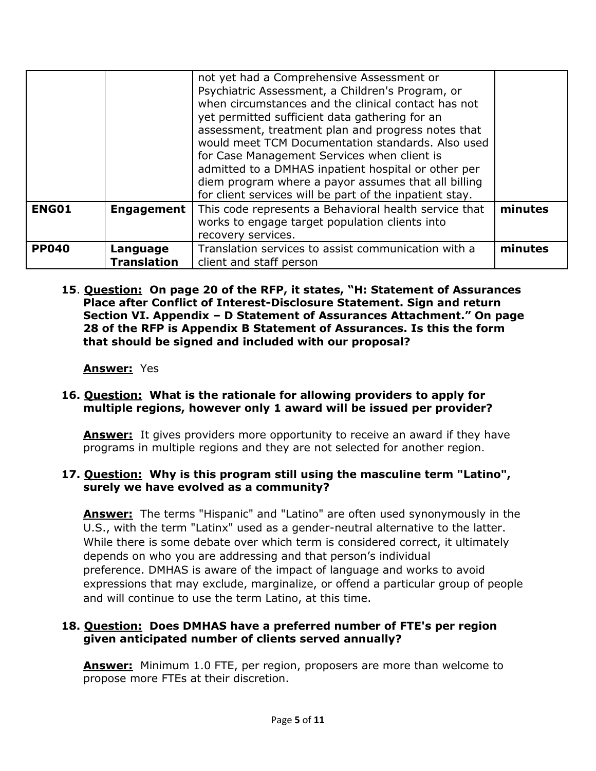|              |                                | not yet had a Comprehensive Assessment or<br>Psychiatric Assessment, a Children's Program, or<br>when circumstances and the clinical contact has not<br>yet permitted sufficient data gathering for an<br>assessment, treatment plan and progress notes that<br>would meet TCM Documentation standards. Also used<br>for Case Management Services when client is<br>admitted to a DMHAS inpatient hospital or other per<br>diem program where a payor assumes that all billing<br>for client services will be part of the inpatient stay. |         |
|--------------|--------------------------------|-------------------------------------------------------------------------------------------------------------------------------------------------------------------------------------------------------------------------------------------------------------------------------------------------------------------------------------------------------------------------------------------------------------------------------------------------------------------------------------------------------------------------------------------|---------|
| <b>ENG01</b> | <b>Engagement</b>              | This code represents a Behavioral health service that<br>works to engage target population clients into<br>recovery services.                                                                                                                                                                                                                                                                                                                                                                                                             | minutes |
| <b>PP040</b> | Language<br><b>Translation</b> | Translation services to assist communication with a<br>client and staff person                                                                                                                                                                                                                                                                                                                                                                                                                                                            | minutes |

**15**. **Question: On page 20 of the RFP, it states, "H: Statement of Assurances Place after Conflict of Interest-Disclosure Statement. Sign and return Section VI. Appendix – D Statement of Assurances Attachment." On page 28 of the RFP is Appendix B Statement of Assurances. Is this the form that should be signed and included with our proposal?**

# **Answer:** Yes

# **16. Question: What is the rationale for allowing providers to apply for multiple regions, however only 1 award will be issued per provider?**

**Answer:** It gives providers more opportunity to receive an award if they have programs in multiple regions and they are not selected for another region.

# **17. Question: Why is this program still using the masculine term "Latino", surely we have evolved as a community?**

**Answer:** The terms "Hispanic" and "Latino" are often used synonymously in the U.S., with the term "Latinx" used as a gender-neutral alternative to the latter. While there is some debate over which term is considered correct, it ultimately depends on who you are addressing and that person's individual preference. DMHAS is aware of the impact of language and works to avoid expressions that may exclude, marginalize, or offend a particular group of people and will continue to use the term Latino, at this time.

#### **18. Question: Does DMHAS have a preferred number of FTE's per region given anticipated number of clients served annually?**

**Answer:** Minimum 1.0 FTE, per region, proposers are more than welcome to propose more FTEs at their discretion.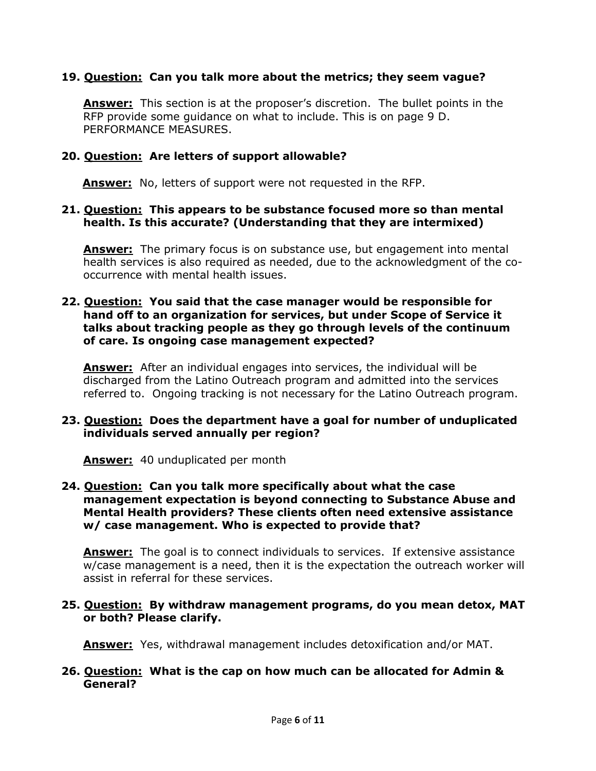# **19. Question: Can you talk more about the metrics; they seem vague?**

**Answer:** This section is at the proposer's discretion. The bullet points in the RFP provide some guidance on what to include. This is on page 9 D. PERFORMANCE MEASURES.

#### **20. Question: Are letters of support allowable?**

 **Answer:** No, letters of support were not requested in the RFP.

#### **21. Question: This appears to be substance focused more so than mental health. Is this accurate? (Understanding that they are intermixed)**

**Answer:** The primary focus is on substance use, but engagement into mental health services is also required as needed, due to the acknowledgment of the cooccurrence with mental health issues.

#### **22. Question: You said that the case manager would be responsible for hand off to an organization for services, but under Scope of Service it talks about tracking people as they go through levels of the continuum of care. Is ongoing case management expected?**

**Answer:** After an individual engages into services, the individual will be discharged from the Latino Outreach program and admitted into the services referred to. Ongoing tracking is not necessary for the Latino Outreach program.

#### **23. Question: Does the department have a goal for number of unduplicated individuals served annually per region?**

 **Answer:** 40 unduplicated per month

#### **24. Question: Can you talk more specifically about what the case management expectation is beyond connecting to Substance Abuse and Mental Health providers? These clients often need extensive assistance w/ case management. Who is expected to provide that?**

**Answer:** The goal is to connect individuals to services. If extensive assistance w/case management is a need, then it is the expectation the outreach worker will assist in referral for these services.

#### **25. Question: By withdraw management programs, do you mean detox, MAT or both? Please clarify.**

 **Answer:** Yes, withdrawal management includes detoxification and/or MAT.

#### **26. Question: What is the cap on how much can be allocated for Admin & General?**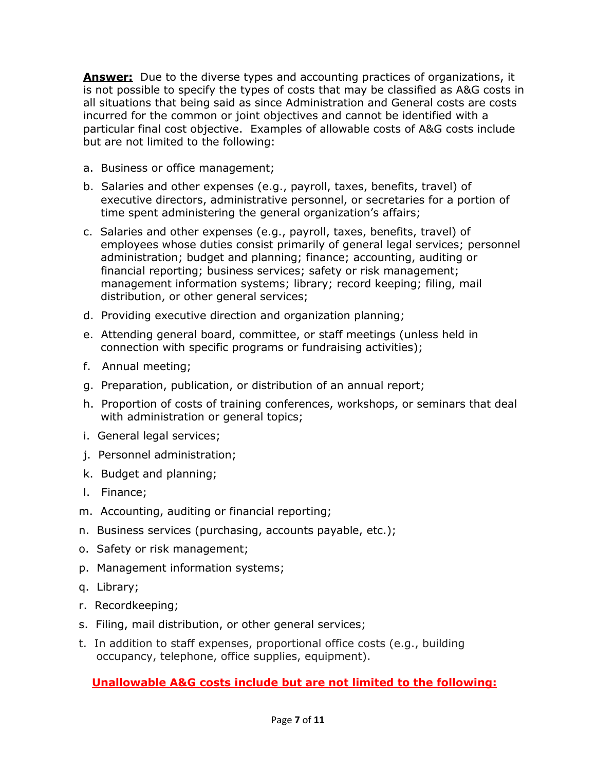**Answer:** Due to the diverse types and accounting practices of organizations, it is not possible to specify the types of costs that may be classified as A&G costs in all situations that being said as since Administration and General costs are costs incurred for the common or joint objectives and cannot be identified with a particular final cost objective. Examples of allowable costs of A&G costs include but are not limited to the following:

- a. Business or office management;
- b. Salaries and other expenses (e.g., payroll, taxes, benefits, travel) of executive directors, administrative personnel, or secretaries for a portion of time spent administering the general organization's affairs;
- c. Salaries and other expenses (e.g., payroll, taxes, benefits, travel) of employees whose duties consist primarily of general legal services; personnel administration; budget and planning; finance; accounting, auditing or financial reporting; business services; safety or risk management; management information systems; library; record keeping; filing, mail distribution, or other general services;
- d. Providing executive direction and organization planning;
- e. Attending general board, committee, or staff meetings (unless held in connection with specific programs or fundraising activities);
- f. Annual meeting;
- g. Preparation, publication, or distribution of an annual report;
- h. Proportion of costs of training conferences, workshops, or seminars that deal with administration or general topics;
- i. General legal services;
- j. Personnel administration;
- k. Budget and planning;
- l. Finance;
- m. Accounting, auditing or financial reporting;
- n. Business services (purchasing, accounts payable, etc.);
- o. Safety or risk management;
- p. Management information systems;
- q. Library;
- r. Recordkeeping;
- s. Filing, mail distribution, or other general services;
- t. In addition to staff expenses, proportional office costs (e.g., building occupancy, telephone, office supplies, equipment).

# **Unallowable A&G costs include but are not limited to the following:**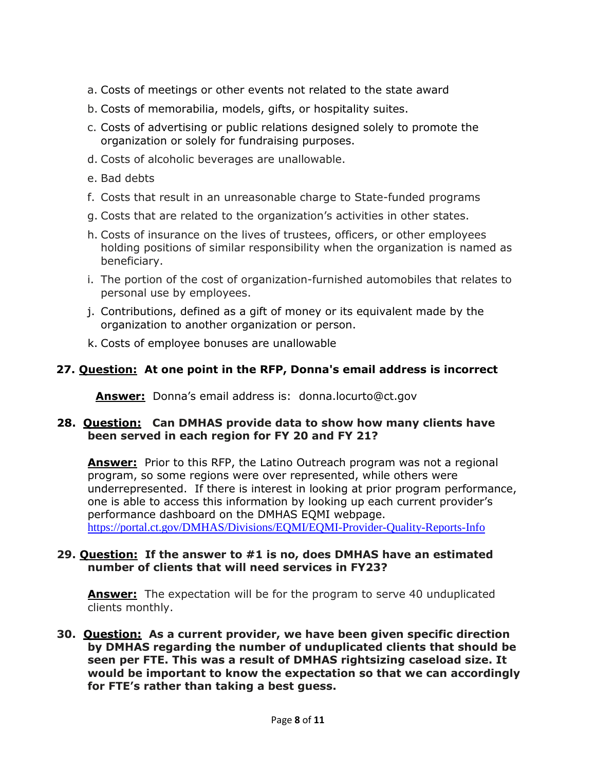- a. Costs of meetings or other events not related to the state award
- b. Costs of memorabilia, models, gifts, or hospitality suites.
- c. Costs of advertising or public relations designed solely to promote the organization or solely for fundraising purposes.
- d. Costs of alcoholic beverages are unallowable.
- e. Bad debts
- f. Costs that result in an unreasonable charge to State-funded programs
- g. Costs that are related to the organization's activities in other states.
- h. Costs of insurance on the lives of trustees, officers, or other employees holding positions of similar responsibility when the organization is named as beneficiary.
- i. The portion of the cost of organization-furnished automobiles that relates to personal use by employees.
- j. Contributions, defined as a gift of money or its equivalent made by the organization to another organization or person.
- k. Costs of employee bonuses are unallowable

# **27. Question: At one point in the RFP, Donna's email address is incorrect**

 **Answer:** Donna's email address is: donna.locurto@ct.gov

#### **28. Question: Can DMHAS provide data to show how many clients have been served in each region for FY 20 and FY 21?**

**Answer:** Prior to this RFP, the Latino Outreach program was not a regional program, so some regions were over represented, while others were underrepresented. If there is interest in looking at prior program performance, one is able to access this information by looking up each current provider's performance dashboard on the DMHAS EQMI webpage. <https://portal.ct.gov/DMHAS/Divisions/EQMI/EQMI-Provider-Quality-Reports-Info>

#### **29. Question: If the answer to #1 is no, does DMHAS have an estimated number of clients that will need services in FY23?**

**Answer:** The expectation will be for the program to serve 40 unduplicated clients monthly.

#### **30. Question: As a current provider, we have been given specific direction by DMHAS regarding the number of unduplicated clients that should be seen per FTE. This was a result of DMHAS rightsizing caseload size. It would be important to know the expectation so that we can accordingly for FTE's rather than taking a best guess.**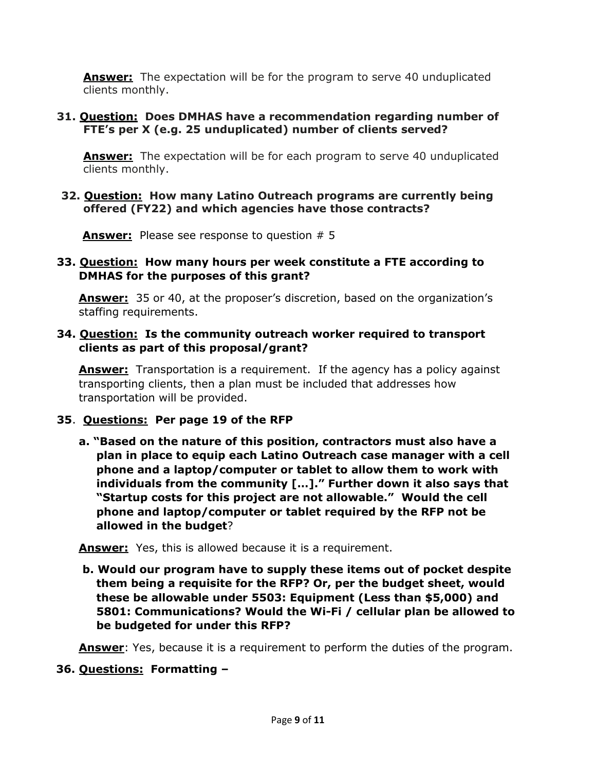**Answer:** The expectation will be for the program to serve 40 unduplicated clients monthly.

# **31. Question: Does DMHAS have a recommendation regarding number of FTE's per X (e.g. 25 unduplicated) number of clients served?**

**Answer:** The expectation will be for each program to serve 40 unduplicated clients monthly.

#### **32. Question: How many Latino Outreach programs are currently being offered (FY22) and which agencies have those contracts?**

**Answer:** Please see response to question # 5

# **33. Question: How many hours per week constitute a FTE according to DMHAS for the purposes of this grant?**

**Answer:** 35 or 40, at the proposer's discretion, based on the organization's staffing requirements.

# **34. Question: Is the community outreach worker required to transport clients as part of this proposal/grant?**

**Answer:** Transportation is a requirement. If the agency has a policy against transporting clients, then a plan must be included that addresses how transportation will be provided.

# **35**. **Questions: Per page 19 of the RFP**

**a. "Based on the nature of this position, contractors must also have a plan in place to equip each Latino Outreach case manager with a cell phone and a laptop/computer or tablet to allow them to work with individuals from the community […]." Further down it also says that "Startup costs for this project are not allowable." Would the cell phone and laptop/computer or tablet required by the RFP not be allowed in the budget**?

**Answer:** Yes, this is allowed because it is a requirement.

**b. Would our program have to supply these items out of pocket despite them being a requisite for the RFP? Or, per the budget sheet, would these be allowable under 5503: Equipment (Less than \$5,000) and 5801: Communications? Would the Wi-Fi / cellular plan be allowed to be budgeted for under this RFP?**

**Answer**: Yes, because it is a requirement to perform the duties of the program.

# **36. Questions: Formatting –**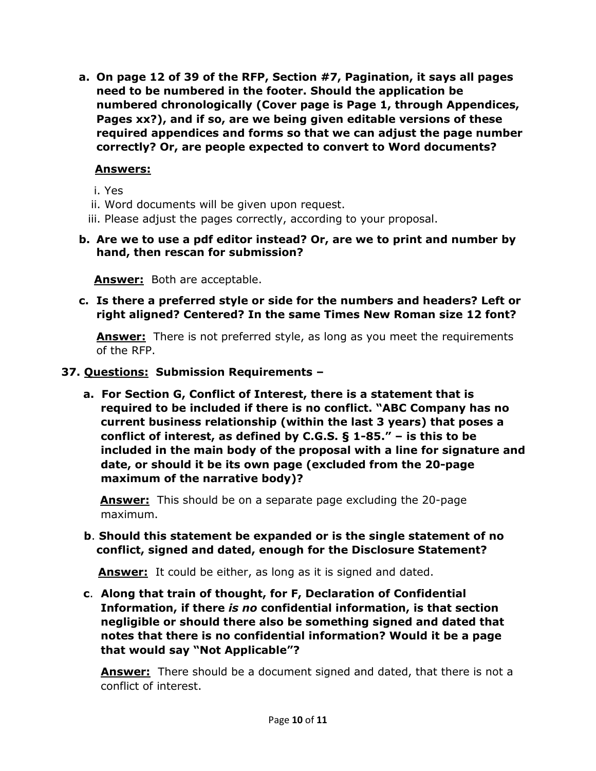**a. On page 12 of 39 of the RFP, Section #7, Pagination, it says all pages need to be numbered in the footer. Should the application be numbered chronologically (Cover page is Page 1, through Appendices, Pages xx?), and if so, are we being given editable versions of these required appendices and forms so that we can adjust the page number correctly? Or, are people expected to convert to Word documents?** 

# **Answers:**

- i. Yes
- ii. Word documents will be given upon request.
- iii. Please adjust the pages correctly, according to your proposal.
- **b. Are we to use a pdf editor instead? Or, are we to print and number by hand, then rescan for submission?**

 **Answer:** Both are acceptable.

**c. Is there a preferred style or side for the numbers and headers? Left or right aligned? Centered? In the same Times New Roman size 12 font?**

**Answer:** There is not preferred style, as long as you meet the requirements of the RFP.

- **37. Questions: Submission Requirements –**
	- **a. For Section G, Conflict of Interest, there is a statement that is required to be included if there is no conflict. "ABC Company has no current business relationship (within the last 3 years) that poses a conflict of interest, as defined by C.G.S. § 1-85." – is this to be included in the main body of the proposal with a line for signature and date, or should it be its own page (excluded from the 20-page maximum of the narrative body)?**

**Answer:** This should be on a separate page excluding the 20-page maximum.

 **b**. **Should this statement be expanded or is the single statement of no conflict, signed and dated, enough for the Disclosure Statement?**

**Answer:** It could be either, as long as it is signed and dated.

**c**. **Along that train of thought, for F, Declaration of Confidential Information, if there** *is no* **confidential information, is that section negligible or should there also be something signed and dated that notes that there is no confidential information? Would it be a page that would say "Not Applicable"?** 

**Answer:** There should be a document signed and dated, that there is not a conflict of interest.